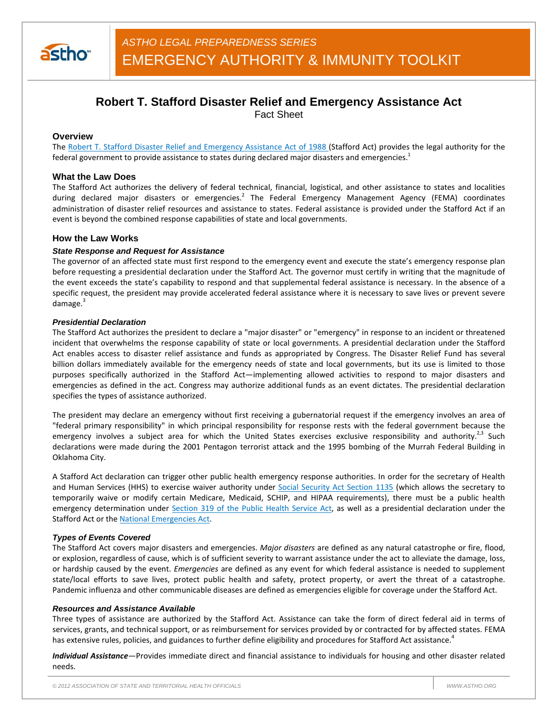

# **Robert T. Stafford Disaster Relief and Emergency Assistance Act**

Fact Sheet

# **Overview**

The Robert T. Stafford Disaster Relief and Emergency Assistance Act of 1988 (Stafford Act) provides the legal authority for the federal government to provide assistance to states during declared major disasters and emergencies.<sup>1</sup>

# **What the Law Does**

The Stafford Act authorizes the delivery of federal technical, financial, logistical, and other assistance to states and localities during declared major disasters or emergencies.<sup>2</sup> The Federal Emergency Management Agency (FEMA) coordinates administration of disaster relief resources and assistance to states. Federal assistance is provided under the Stafford Act if an event is beyond the combined response capabilities of state and local governments.

# **How the Law Works**

#### *State Response and Request for Assistance*

The governor of an affected state must first respond to the emergency event and execute the state's emergency response plan before requesting a presidential declaration under the Stafford Act. The governor must certify in writing that the magnitude of the event exceeds the state's capability to respond and that supplemental federal assistance is necessary. In the absence of a specific request, the president may provide accelerated federal assistance where it is necessary to save lives or prevent severe damage.<sup>3</sup>

#### *Presidential Declaration*

The Stafford Act authorizes the president to declare a "major disaster" or "emergency" in response to an incident or threatened incident that overwhelms the response capability of state or local governments. A presidential declaration under the Stafford Act enables access to disaster relief assistance and funds as appropriated by Congress. The Disaster Relief Fund has several billion dollars immediately available for the emergency needs of state and local governments, but its use is limited to those purposes specifically authorized in the Stafford Act—implementing allowed activities to respond to major disasters and emergencies as defined in the act. Congress may authorize additional funds as an event dictates. The presidential declaration specifies the types of assistance authorized.

The president may declare an emergency without first receiving a gubernatorial request if the emergency involves an area of "federal primary responsibility" in which principal responsibility for response rests with the federal government because the emergency involves a subject area for which the United States exercises exclusive responsibility and authority.<sup>2,3</sup> Such declarations were made during the 2001 Pentagon terrorist attack and the 1995 bombing of the Murrah Federal Building in Oklahoma City.

A Stafford Act declaration can trigger other public health emergency response authorities. In order for the secretary of Health and Human Services (HHS) to exercise waiver authority under Social Security Act Section 1135 (which allows the secretary to temporarily waive or modify certain Medicare, Medicaid, SCHIP, and HIPAA requirements), there must be a public health emergency determination under Section 319 of the Public Health Service Act, as well as a presidential declaration under the Stafford Act or the National Emergencies Act.

#### *Types of Events Covered*

The Stafford Act covers major disasters and emergencies. *Major disasters* are defined as any natural catastrophe or fire, flood, or explosion, regardless of cause, which is of sufficient severity to warrant assistance under the act to alleviate the damage, loss, or hardship caused by the event. *Emergencies* are defined as any event for which federal assistance is needed to supplement state/local efforts to save lives, protect public health and safety, protect property, or avert the threat of a catastrophe. Pandemic influenza and other communicable diseases are defined as emergencies eligible for coverage under the Stafford Act.

#### *Resources and Assistance Available*

Three types of assistance are authorized by the Stafford Act. Assistance can take the form of direct federal aid in terms of services, grants, and technical support, or as reimbursement for services provided by or contracted for by affected states. FEMA has extensive rules, policies, and guidances to further define eligibility and procedures for Stafford Act assistance.<sup>4</sup>

*Individual Assistance—*Provides immediate direct and financial assistance to individuals for housing and other disaster related needs.